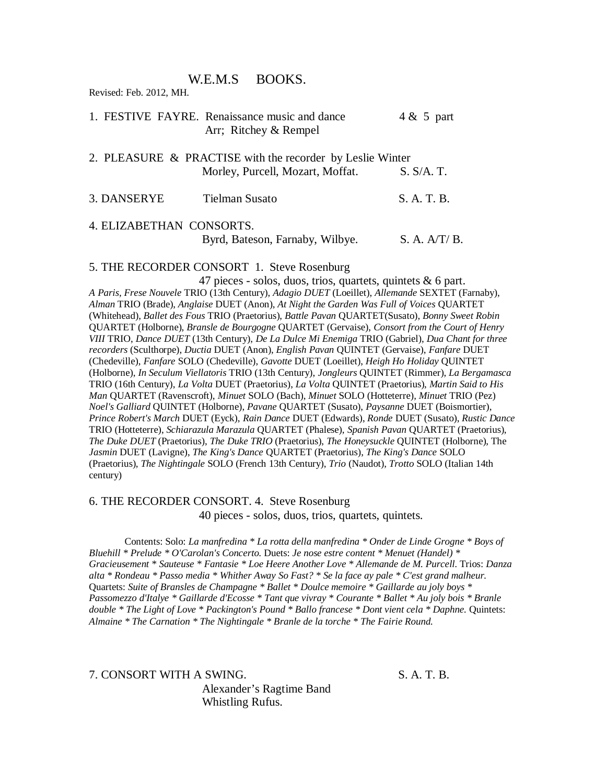## W.E.M.S BOOKS.

Revised: Feb. 2012, MH.

|                          | 1. FESTIVE FAYRE. Renaissance music and dance<br>Arr; Ritchey & Rempel                        | $4 & 5$ part |
|--------------------------|-----------------------------------------------------------------------------------------------|--------------|
|                          | 2. PLEASURE & PRACTISE with the recorder by Leslie Winter<br>Morley, Purcell, Mozart, Moffat. | S. S/A. T.   |
| 3. DANSERYE              | <b>Tielman Susato</b>                                                                         | S. A. T. B.  |
| 4. ELIZABETHAN CONSORTS. | Byrd, Bateson, Farnaby, Wilbye.                                                               | S. A. A/T/B. |

5. THE RECORDER CONSORT 1. Steve Rosenburg

 47 pieces - solos, duos, trios, quartets, quintets & 6 part. *A Paris, Frese Nouvele* TRIO (13th Century), *Adagio DUET* (Loeillet), *Allemande* SEXTET (Farnaby), *Alman* TRIO (Brade), *Anglaise* DUET (Anon), *At Night the Garden Was Full of Voices* QUARTET (Whitehead), *Ballet des Fous* TRIO (Praetorius), *Battle Pavan* QUARTET(Susato), *Bonny Sweet Robin* QUARTET (Holborne), *Bransle de Bourgogne* QUARTET (Gervaise), *Consort from the Court of Henry VIII* TRIO, *Dance DUET* (13th Century), *De La Dulce Mi Enemiga* TRIO (Gabriel), *Dua Chant for three recorders* (Sculthorpe), *Ductia* DUET (Anon), *English Pavan* QUINTET (Gervaise), *Fanfare* DUET (Chedeville), *Fanfare* SOLO (Chedeville), *Gavotte* DUET (Loeillet), *Heigh Ho Holiday* QUINTET (Holborne), *In Seculum Viellatoris* TRIO (13th Century), *Jongleurs* QUINTET (Rimmer), *La Bergamasca*  TRIO (16th Century), *La Volta* DUET (Praetorius), *La Volta* QUINTET (Praetorius), *Martin Said to His Man* QUARTET (Ravenscroft), *Minuet* SOLO (Bach), *Minuet* SOLO (Hotteterre), *Minuet* TRIO (Pez) *Noel's Galliard* QUINTET (Holborne), *Pavane* QUARTET (Susato), *Paysanne* DUET (Boismortier), *Prince Robert's March* DUET (Eyck), *Rain Dance* DUET (Edwards), *Ronde* DUET (Susato), *Rustic Dance*  TRIO (Hotteterre), *Schiarazula Marazula* QUARTET (Phalese), *Spanish Pavan* QUARTET (Praetorius), *The Duke DUET* (Praetorius), *The Duke TRIO* (Praetorius), *The Honeysuckle* QUINTET (Holborne), The *Jasmin* DUET (Lavigne), *The King's Dance* QUARTET (Praetorius), *The King's Dance* SOLO (Praetorius), *The Nightingale* SOLO (French 13th Century), *Trio* (Naudot), *Trotto* SOLO (Italian 14th century)

6. THE RECORDER CONSORT. 4. Steve Rosenburg 40 pieces - solos, duos, trios, quartets, quintets.

Contents: Solo: *La manfredina \* La rotta della manfredina \* Onder de Linde Grogne \* Boys of Bluehill \* Prelude \* O'Carolan's Concerto.* Duets: *Je nose estre content \* Menuet (Handel) \* Gracieusement \* Sauteuse \* Fantasie \* Loe Heere Another Love \* Allemande de M. Purcell.* Trios: *Danza alta \* Rondeau \* Passo media \* Whither Away So Fast? \* Se la face ay pale \* C'est grand malheur.*  Quartets: *Suite of Bransles de Champagne \* Ballet \* Doulce memoire \* Gaillarde au joly boys \* Passomezzo d'Italye \* Gaillarde d'Ecosse \* Tant que vivray \* Courante \* Ballet \* Au joly bois \* Branle*  double \* The Light of Love \* Packington's Pound \* Ballo francese \* Dont vient cela \* Daphne. Quintets: *Almaine \* The Carnation \* The Nightingale \* Branle de la torche \* The Fairie Round.*

7. CONSORT WITH A SWING. S.A. T.B.

 Alexander's Ragtime Band Whistling Rufus.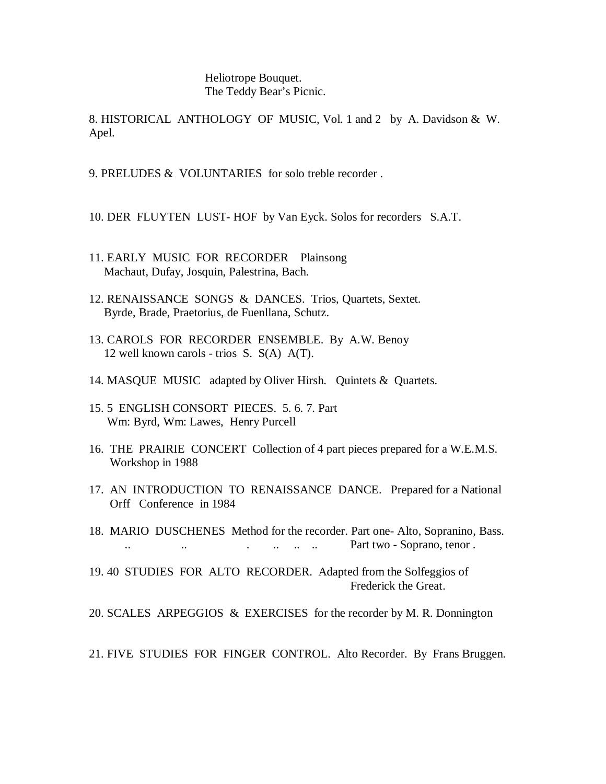Heliotrope Bouquet. The Teddy Bear's Picnic.

8. HISTORICAL ANTHOLOGY OF MUSIC, Vol. 1 and 2 by A. Davidson & W. Apel.

- 9. PRELUDES & VOLUNTARIES for solo treble recorder .
- 10. DER FLUYTEN LUST- HOF by Van Eyck. Solos for recorders S.A.T.
- 11. EARLY MUSIC FOR RECORDER Plainsong Machaut, Dufay, Josquin, Palestrina, Bach.
- 12. RENAISSANCE SONGS & DANCES. Trios, Quartets, Sextet. Byrde, Brade, Praetorius, de Fuenllana, Schutz.
- 13. CAROLS FOR RECORDER ENSEMBLE. By A.W. Benoy 12 well known carols - trios S. S(A) A(T).
- 14. MASQUE MUSIC adapted by Oliver Hirsh. Quintets & Quartets.
- 15. 5 ENGLISH CONSORT PIECES. 5. 6. 7. Part Wm: Byrd, Wm: Lawes, Henry Purcell
- 16. THE PRAIRIE CONCERT Collection of 4 part pieces prepared for a W.E.M.S. Workshop in 1988
- 17. AN INTRODUCTION TO RENAISSANCE DANCE. Prepared for a National Orff Conference in 1984
- 18. MARIO DUSCHENES Method for the recorder. Part one- Alto, Sopranino, Bass.  $\ldots$  ... ... ... ... ... Part two - Soprano, tenor .
- 19. 40 STUDIES FOR ALTO RECORDER. Adapted from the Solfeggios of Frederick the Great.

20. SCALES ARPEGGIOS & EXERCISES for the recorder by M. R. Donnington

21. FIVE STUDIES FOR FINGER CONTROL. Alto Recorder. By Frans Bruggen.